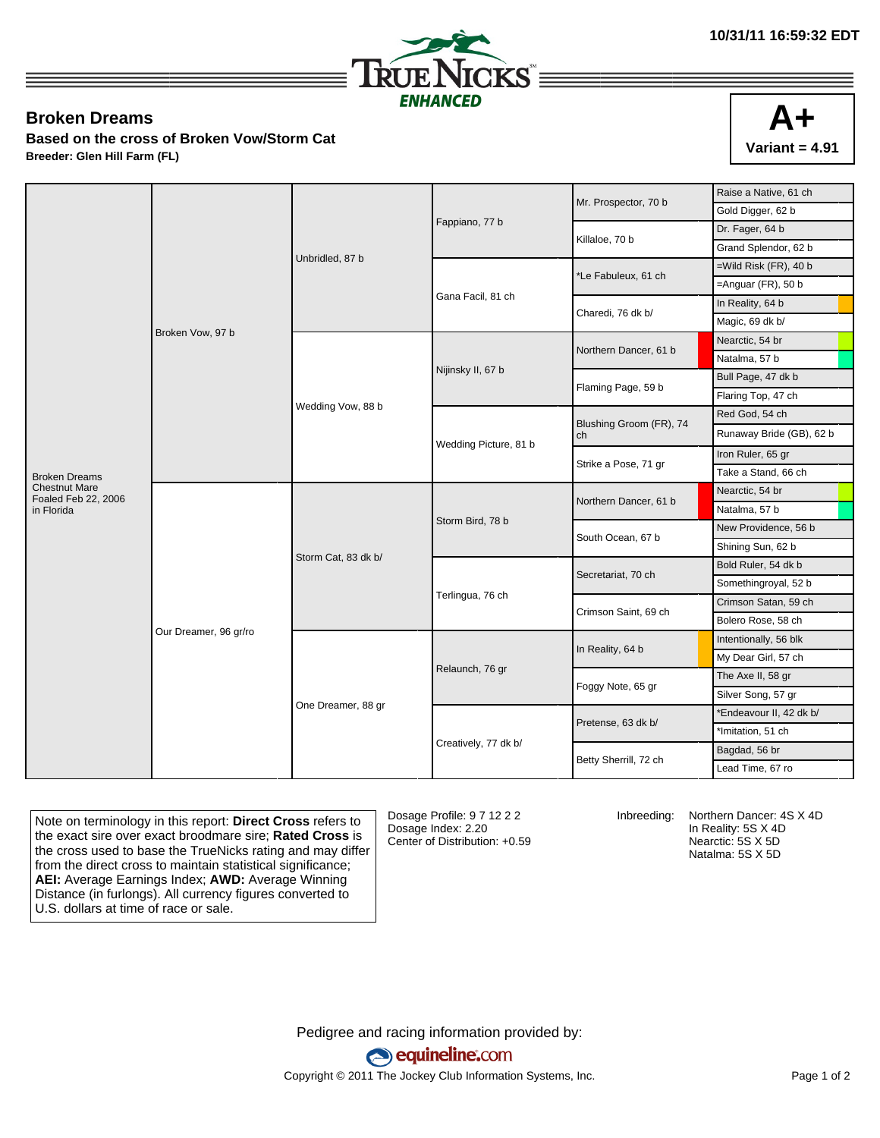

## **Broken Dreams**

**Based on the cross of Broken Vow/Storm Cat Breeder: Glen Hill Farm (FL)**



|                                             |                       |                     |                       | Mr. Prospector, 70 b          | Raise a Native, 61 ch                                                                                                                                                                                                                                                                                                                                                                                                                                                                                                                                                                       |                      |
|---------------------------------------------|-----------------------|---------------------|-----------------------|-------------------------------|---------------------------------------------------------------------------------------------------------------------------------------------------------------------------------------------------------------------------------------------------------------------------------------------------------------------------------------------------------------------------------------------------------------------------------------------------------------------------------------------------------------------------------------------------------------------------------------------|----------------------|
|                                             |                       |                     | Fappiano, 77 b        |                               | Gold Digger, 62 b                                                                                                                                                                                                                                                                                                                                                                                                                                                                                                                                                                           |                      |
|                                             |                       |                     |                       | Killaloe, 70 b                | Dr. Fager, 64 b                                                                                                                                                                                                                                                                                                                                                                                                                                                                                                                                                                             |                      |
|                                             |                       |                     |                       |                               |                                                                                                                                                                                                                                                                                                                                                                                                                                                                                                                                                                                             | Grand Splendor, 62 b |
|                                             |                       | Unbridled, 87 b     |                       | *Le Fabuleux, 61 ch           | $=$ Wild Risk (FR), 40 b<br>$=$ Anguar (FR), 50 b<br>In Reality, 64 b<br>Magic, 69 dk b/<br>Nearctic, 54 br<br>Natalma, 57 b<br>Bull Page, 47 dk b<br>Flaring Top, 47 ch<br>Red God, 54 ch<br>Runaway Bride (GB), 62 b<br>Iron Ruler, 65 gr<br>Take a Stand, 66 ch<br>Nearctic, 54 br<br>Natalma, 57 b<br>New Providence, 56 b<br>Shining Sun, 62 b<br>Bold Ruler, 54 dk b<br>Somethingroyal, 52 b<br>Crimson Satan, 59 ch<br>Bolero Rose, 58 ch<br>Intentionally, 56 blk<br>My Dear Girl, 57 ch<br>The Axe II, 58 gr<br>Silver Song, 57 gr<br>*Endeavour II, 42 dk b/<br>*Imitation, 51 ch |                      |
|                                             |                       |                     |                       |                               |                                                                                                                                                                                                                                                                                                                                                                                                                                                                                                                                                                                             |                      |
|                                             |                       |                     | Gana Facil, 81 ch     | Charedi, 76 dk b/             |                                                                                                                                                                                                                                                                                                                                                                                                                                                                                                                                                                                             |                      |
|                                             |                       |                     |                       |                               |                                                                                                                                                                                                                                                                                                                                                                                                                                                                                                                                                                                             |                      |
|                                             | Broken Vow, 97 b      |                     |                       |                               |                                                                                                                                                                                                                                                                                                                                                                                                                                                                                                                                                                                             |                      |
|                                             |                       |                     |                       | Northern Dancer, 61 b         |                                                                                                                                                                                                                                                                                                                                                                                                                                                                                                                                                                                             |                      |
|                                             |                       |                     | Nijinsky II, 67 b     |                               |                                                                                                                                                                                                                                                                                                                                                                                                                                                                                                                                                                                             |                      |
|                                             |                       | Wedding Vow, 88 b   |                       | Flaming Page, 59 b            |                                                                                                                                                                                                                                                                                                                                                                                                                                                                                                                                                                                             |                      |
|                                             |                       |                     |                       |                               |                                                                                                                                                                                                                                                                                                                                                                                                                                                                                                                                                                                             |                      |
|                                             |                       |                     | Wedding Picture, 81 b | Blushing Groom (FR), 74<br>ch |                                                                                                                                                                                                                                                                                                                                                                                                                                                                                                                                                                                             |                      |
|                                             |                       |                     |                       | Strike a Pose, 71 gr          |                                                                                                                                                                                                                                                                                                                                                                                                                                                                                                                                                                                             |                      |
| <b>Broken Dreams</b>                        |                       |                     |                       |                               |                                                                                                                                                                                                                                                                                                                                                                                                                                                                                                                                                                                             |                      |
| <b>Chestnut Mare</b><br>Foaled Feb 22, 2006 |                       |                     |                       | Northern Dancer, 61 b         |                                                                                                                                                                                                                                                                                                                                                                                                                                                                                                                                                                                             |                      |
| in Florida                                  |                       |                     |                       |                               |                                                                                                                                                                                                                                                                                                                                                                                                                                                                                                                                                                                             |                      |
|                                             |                       | Storm Cat, 83 dk b/ | Storm Bird, 78 b      | South Ocean, 67 b             |                                                                                                                                                                                                                                                                                                                                                                                                                                                                                                                                                                                             |                      |
|                                             |                       |                     |                       |                               |                                                                                                                                                                                                                                                                                                                                                                                                                                                                                                                                                                                             |                      |
|                                             |                       |                     | Terlingua, 76 ch      | Secretariat, 70 ch            |                                                                                                                                                                                                                                                                                                                                                                                                                                                                                                                                                                                             |                      |
|                                             |                       |                     |                       |                               |                                                                                                                                                                                                                                                                                                                                                                                                                                                                                                                                                                                             |                      |
|                                             |                       |                     |                       | Crimson Saint, 69 ch          |                                                                                                                                                                                                                                                                                                                                                                                                                                                                                                                                                                                             |                      |
|                                             |                       |                     |                       |                               |                                                                                                                                                                                                                                                                                                                                                                                                                                                                                                                                                                                             |                      |
|                                             | Our Dreamer, 96 gr/ro | One Dreamer, 88 gr  | Relaunch, 76 gr       | In Reality, 64 b              |                                                                                                                                                                                                                                                                                                                                                                                                                                                                                                                                                                                             |                      |
|                                             |                       |                     |                       |                               |                                                                                                                                                                                                                                                                                                                                                                                                                                                                                                                                                                                             |                      |
|                                             |                       |                     |                       | Foggy Note, 65 gr             |                                                                                                                                                                                                                                                                                                                                                                                                                                                                                                                                                                                             |                      |
|                                             |                       |                     |                       |                               |                                                                                                                                                                                                                                                                                                                                                                                                                                                                                                                                                                                             |                      |
|                                             |                       |                     |                       |                               |                                                                                                                                                                                                                                                                                                                                                                                                                                                                                                                                                                                             |                      |
|                                             |                       |                     |                       | Pretense, 63 dk b/            |                                                                                                                                                                                                                                                                                                                                                                                                                                                                                                                                                                                             |                      |
|                                             |                       |                     | Creatively, 77 dk b/  | Betty Sherrill, 72 ch         | Bagdad, 56 br                                                                                                                                                                                                                                                                                                                                                                                                                                                                                                                                                                               |                      |
|                                             |                       |                     |                       |                               | Lead Time, 67 ro                                                                                                                                                                                                                                                                                                                                                                                                                                                                                                                                                                            |                      |

Note on terminology in this report: **Direct Cross** refers to the exact sire over exact broodmare sire; **Rated Cross** is the cross used to base the TrueNicks rating and may differ from the direct cross to maintain statistical significance; **AEI:** Average Earnings Index; **AWD:** Average Winning Distance (in furlongs). All currency figures converted to U.S. dollars at time of race or sale.

Dosage Profile: 9 7 12 2 2 Dosage Index: 2.20 Center of Distribution: +0.59

Inbreeding: Northern Dancer: 4S X 4D In Reality: 5S X 4D Nearctic: 5S X 5D Natalma: 5S X 5D

Pedigree and racing information provided by: equineline.com Copyright © 2011 The Jockey Club Information Systems, Inc. example 2012 Page 1 of 2